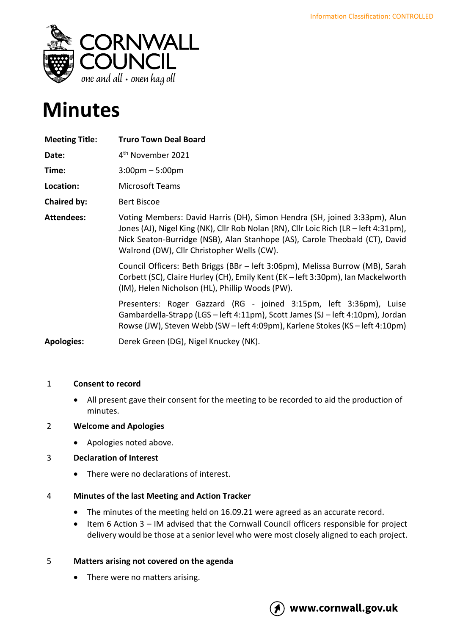

# **Minutes**

| <b>Meeting Title:</b> | <b>Truro Town Deal Board</b>                                                                                                                                                                                                                                                                   |
|-----------------------|------------------------------------------------------------------------------------------------------------------------------------------------------------------------------------------------------------------------------------------------------------------------------------------------|
| Date:                 | 4 <sup>th</sup> November 2021                                                                                                                                                                                                                                                                  |
| Time:                 | $3:00 \text{pm} - 5:00 \text{pm}$                                                                                                                                                                                                                                                              |
| Location:             | Microsoft Teams                                                                                                                                                                                                                                                                                |
| <b>Chaired by:</b>    | <b>Bert Biscoe</b>                                                                                                                                                                                                                                                                             |
| <b>Attendees:</b>     | Voting Members: David Harris (DH), Simon Hendra (SH, joined 3:33pm), Alun<br>Jones (AJ), Nigel King (NK), Cllr Rob Nolan (RN), Cllr Loic Rich (LR – left 4:31pm),<br>Nick Seaton-Burridge (NSB), Alan Stanhope (AS), Carole Theobald (CT), David<br>Walrond (DW), Cllr Christopher Wells (CW). |
|                       | Council Officers: Beth Briggs (BBr - left 3:06pm), Melissa Burrow (MB), Sarah<br>Corbett (SC), Claire Hurley (CH), Emily Kent (EK - left 3:30pm), Ian Mackelworth<br>(IM), Helen Nicholson (HL), Phillip Woods (PW).                                                                           |
|                       | Presenters: Roger Gazzard (RG - joined 3:15pm, left 3:36pm), Luise<br>Gambardella-Strapp (LGS - left 4:11pm), Scott James (SJ - left 4:10pm), Jordan<br>Rowse (JW), Steven Webb (SW – left 4:09pm), Karlene Stokes (KS – left 4:10pm)                                                          |
| <b>Apologies:</b>     | Derek Green (DG), Nigel Knuckey (NK).                                                                                                                                                                                                                                                          |

## 1 **Consent to record**

• All present gave their consent for the meeting to be recorded to aid the production of minutes.

## 2 **Welcome and Apologies**

• Apologies noted above.

# 3 **Declaration of Interest**

• There were no declarations of interest.

## 4 **Minutes of the last Meeting and Action Tracker**

- The minutes of the meeting held on 16.09.21 were agreed as an accurate record.
- Item 6 Action 3 IM advised that the Cornwall Council officers responsible for project delivery would be those at a senior level who were most closely aligned to each project.

# 5 **Matters arising not covered on the agenda**

• There were no matters arising.

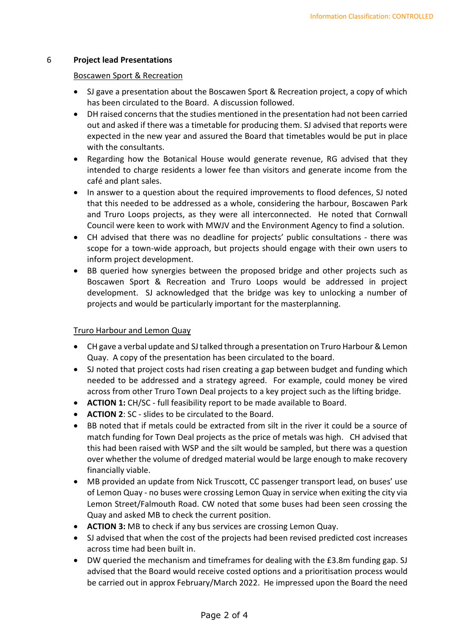#### 6 **Project lead Presentations**

#### Boscawen Sport & Recreation

- SJ gave a presentation about the Boscawen Sport & Recreation project, a copy of which has been circulated to the Board. A discussion followed.
- DH raised concerns that the studies mentioned in the presentation had not been carried out and asked if there was a timetable for producing them. SJ advised that reports were expected in the new year and assured the Board that timetables would be put in place with the consultants.
- Regarding how the Botanical House would generate revenue, RG advised that they intended to charge residents a lower fee than visitors and generate income from the café and plant sales.
- In answer to a question about the required improvements to flood defences, SJ noted that this needed to be addressed as a whole, considering the harbour, Boscawen Park and Truro Loops projects, as they were all interconnected. He noted that Cornwall Council were keen to work with MWJV and the Environment Agency to find a solution.
- CH advised that there was no deadline for projects' public consultations there was scope for a town-wide approach, but projects should engage with their own users to inform project development.
- BB queried how synergies between the proposed bridge and other projects such as Boscawen Sport & Recreation and Truro Loops would be addressed in project development. SJ acknowledged that the bridge was key to unlocking a number of projects and would be particularly important for the masterplanning.

## Truro Harbour and Lemon Quay

- CH gave a verbal update and SJ talked through a presentation on Truro Harbour & Lemon Quay. A copy of the presentation has been circulated to the board.
- SJ noted that project costs had risen creating a gap between budget and funding which needed to be addressed and a strategy agreed. For example, could money be vired across from other Truro Town Deal projects to a key project such as the lifting bridge.
- **ACTION 1:** CH/SC full feasibility report to be made available to Board.
- **ACTION 2**: SC slides to be circulated to the Board.
- BB noted that if metals could be extracted from silt in the river it could be a source of match funding for Town Deal projects as the price of metals was high. CH advised that this had been raised with WSP and the silt would be sampled, but there was a question over whether the volume of dredged material would be large enough to make recovery financially viable.
- MB provided an update from Nick Truscott, CC passenger transport lead, on buses' use of Lemon Quay - no buses were crossing Lemon Quay in service when exiting the city via Lemon Street/Falmouth Road. CW noted that some buses had been seen crossing the Quay and asked MB to check the current position.
- **ACTION 3:** MB to check if any bus services are crossing Lemon Quay.
- SJ advised that when the cost of the projects had been revised predicted cost increases across time had been built in.
- DW queried the mechanism and timeframes for dealing with the £3.8m funding gap. SJ advised that the Board would receive costed options and a prioritisation process would be carried out in approx February/March 2022. He impressed upon the Board the need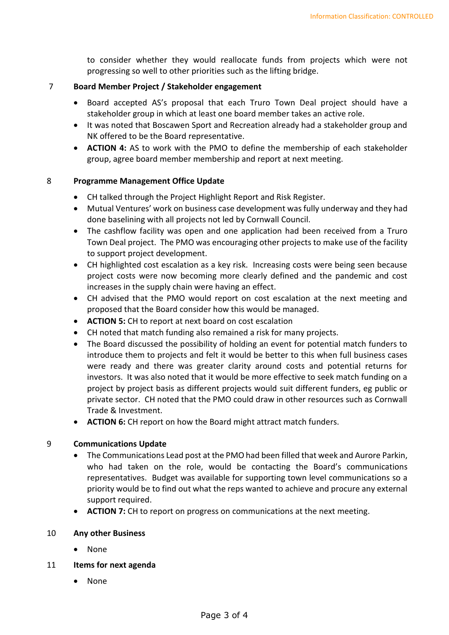to consider whether they would reallocate funds from projects which were not progressing so well to other priorities such as the lifting bridge.

#### 7 **Board Member Project / Stakeholder engagement**

- Board accepted AS's proposal that each Truro Town Deal project should have a stakeholder group in which at least one board member takes an active role.
- It was noted that Boscawen Sport and Recreation already had a stakeholder group and NK offered to be the Board representative.
- **ACTION 4:** AS to work with the PMO to define the membership of each stakeholder group, agree board member membership and report at next meeting.

#### 8 **Programme Management Office Update**

- CH talked through the Project Highlight Report and Risk Register.
- Mutual Ventures' work on business case development was fully underway and they had done baselining with all projects not led by Cornwall Council.
- The cashflow facility was open and one application had been received from a Truro Town Deal project. The PMO was encouraging other projects to make use of the facility to support project development.
- CH highlighted cost escalation as a key risk. Increasing costs were being seen because project costs were now becoming more clearly defined and the pandemic and cost increases in the supply chain were having an effect.
- CH advised that the PMO would report on cost escalation at the next meeting and proposed that the Board consider how this would be managed.
- **ACTION 5:** CH to report at next board on cost escalation
- CH noted that match funding also remained a risk for many projects.
- The Board discussed the possibility of holding an event for potential match funders to introduce them to projects and felt it would be better to this when full business cases were ready and there was greater clarity around costs and potential returns for investors. It was also noted that it would be more effective to seek match funding on a project by project basis as different projects would suit different funders, eg public or private sector. CH noted that the PMO could draw in other resources such as Cornwall Trade & Investment.
- **ACTION 6:** CH report on how the Board might attract match funders.

## 9 **Communications Update**

- The Communications Lead post at the PMO had been filled that week and Aurore Parkin, who had taken on the role, would be contacting the Board's communications representatives. Budget was available for supporting town level communications so a priority would be to find out what the reps wanted to achieve and procure any external support required.
- **ACTION 7:** CH to report on progress on communications at the next meeting.

#### 10 **Any other Business**

• None

## 11 **Items for next agenda**

• None